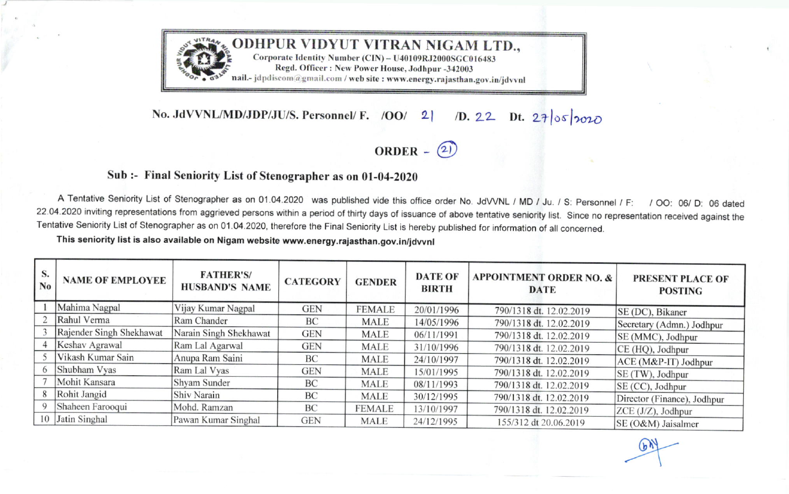

## No. JdVVNL/MD/JDP/JU/S. Personnel/ F. /OO/ 2| /D. 22 Dt.  $2+\vert \circ 5\vert$ 2010

ORDER  $-$  (21)

## Sub :- Final Seniority List of Stenographer as on 01-04-2020

A Tentative Seniority List of Stenographer as on 01.04.2020 was published vide this office order No. JdVVNL / MD / Ju. / S: Personnel / F: / OO: 06/ D: 06 dated<br>22.04.2020 inviting representations from aggrieved persons wi Tentative Seniority List of Stenographer as on 01.04.2020, therefore the Final Seniority List is hereby published for information of all concerned.

This seniority list is also available on Nigam website www.energy.rajasthan.gov.in/jdvvnl

| S.<br>N <sub>0</sub> | <b>NAME OF EMPLOYEE</b>  | <b>FATHER'S/</b><br><b>HUSBAND'S NAME</b> | <b>CATEGORY</b> | <b>GENDER</b> | <b>DATE OF</b><br><b>BIRTH</b> | <b>APPOINTMENT ORDER NO. &amp;</b><br><b>DATE</b> | <b>PRESENT PLACE OF</b><br><b>POSTING</b> |
|----------------------|--------------------------|-------------------------------------------|-----------------|---------------|--------------------------------|---------------------------------------------------|-------------------------------------------|
|                      | Mahima Nagpal            | Vijay Kumar Nagpal                        | <b>GEN</b>      | <b>FEMALE</b> | 20/01/1996                     | 790/1318 dt. 12.02.2019                           | SE (DC), Bikaner                          |
|                      | Rahul Verma              | Ram Chander                               | BC              | <b>MALE</b>   | 14/05/1996                     | 790/1318 dt. 12.02.2019                           | Secretary (Admn.) Jodhpur                 |
|                      | Rajender Singh Shekhawat | Narain Singh Shekhawat                    | <b>GEN</b>      | <b>MALE</b>   | 06/11/1991                     | 790/1318 dt. 12.02.2019                           | SE (MMC), Jodhpur                         |
|                      | Keshav Agrawal           | Ram Lal Agarwal                           | <b>GEN</b>      | <b>MALE</b>   | 31/10/1996                     | 790/1318 dt. 12.02.2019                           | CE (HQ), Jodhpur                          |
|                      | Vikash Kumar Sain        | Anupa Ram Saini                           | BC              | <b>MALE</b>   | 24/10/1997                     | 790/1318 dt. 12.02.2019                           | ACE (M&P-IT) Jodhpur                      |
|                      | Shubham Vyas             | Ram Lal Vyas                              | <b>GEN</b>      | <b>MALE</b>   | 15/01/1995                     | 790/1318 dt. 12.02.2019                           | SE (TW), Jodhpur                          |
|                      | Mohit Kansara            | Shyam Sunder                              | BC              | <b>MALE</b>   | 08/11/1993                     | 790/1318 dt. 12.02.2019                           | $SE$ (CC), Jodhpur                        |
|                      | Rohit Jangid             | Shiv Narain                               | BC              | <b>MALE</b>   | 30/12/1995                     | 790/1318 dt. 12.02.2019                           | Director (Finance), Jodhpur               |
|                      | Shaheen Farooqui         | Mohd. Ramzan                              | BC              | <b>FEMALE</b> | 13/10/1997                     | 790/1318 dt. 12.02.2019                           | $ZCE$ (J/Z), Jodhpur                      |
|                      | 10 Jatin Singhal         | Pawan Kumar Singhal                       | <b>GEN</b>      | <b>MALE</b>   | 24/12/1995                     | 155/312 dt 20.06.2019                             | SE (O&M) Jaisalmer                        |